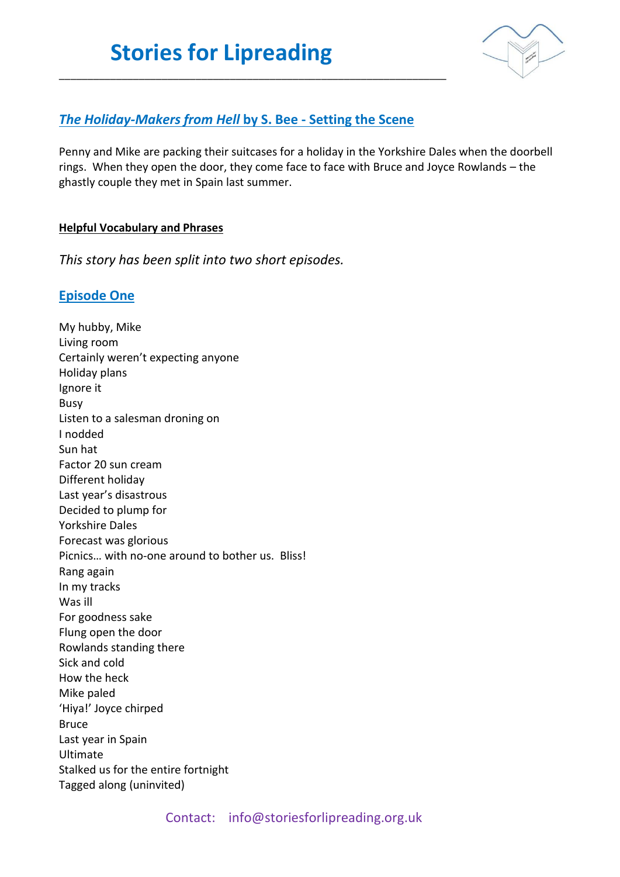

## *The Holiday-Makers from Hell* **by S. Bee - Setting the Scene**

\_\_\_\_\_\_\_\_\_\_\_\_\_\_\_\_\_\_\_\_\_\_\_\_\_\_\_\_\_\_\_\_\_\_\_\_\_\_\_\_\_\_\_\_\_\_\_\_\_\_\_\_\_\_\_\_\_\_\_\_\_\_\_\_\_\_\_\_

Penny and Mike are packing their suitcases for a holiday in the Yorkshire Dales when the doorbell rings. When they open the door, they come face to face with Bruce and Joyce Rowlands – the ghastly couple they met in Spain last summer.

#### **Helpful Vocabulary and Phrases**

*This story has been split into two short episodes.* 

### **Episode One**

My hubby, Mike Living room Certainly weren't expecting anyone Holiday plans Ignore it Busy Listen to a salesman droning on I nodded Sun hat Factor 20 sun cream Different holiday Last year's disastrous Decided to plump for Yorkshire Dales Forecast was glorious Picnics… with no-one around to bother us. Bliss! Rang again In my tracks Was ill For goodness sake Flung open the door Rowlands standing there Sick and cold How the heck Mike paled 'Hiya!' Joyce chirped Bruce Last year in Spain Ultimate Stalked us for the entire fortnight Tagged along (uninvited)